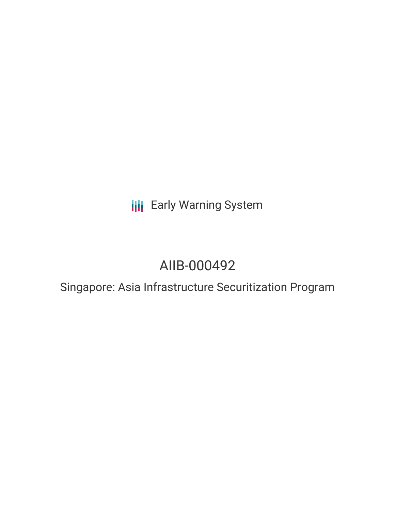**III** Early Warning System

# AIIB-000492

Singapore: Asia Infrastructure Securitization Program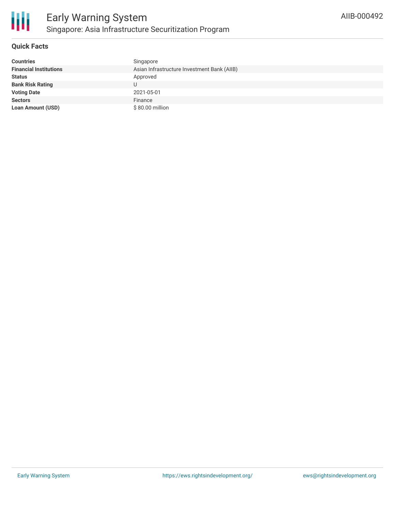

## **Quick Facts**

| <b>Countries</b>              | Singapore                                   |
|-------------------------------|---------------------------------------------|
| <b>Financial Institutions</b> | Asian Infrastructure Investment Bank (AIIB) |
| <b>Status</b>                 | Approved                                    |
| <b>Bank Risk Rating</b>       |                                             |
| <b>Voting Date</b>            | 2021-05-01                                  |
| <b>Sectors</b>                | Finance                                     |
| <b>Loan Amount (USD)</b>      | \$80.00 million                             |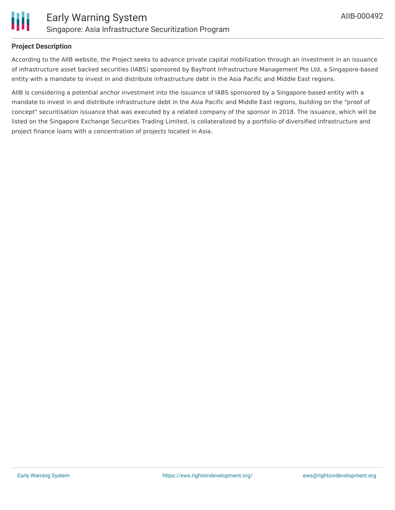

#### **Project Description**

According to the AIIB website, the Project seeks to advance private capital mobilization through an investment in an issuance of infrastructure asset backed securities (IABS) sponsored by Bayfront Infrastructure Management Pte Ltd, a Singapore-based entity with a mandate to invest in and distribute infrastructure debt in the Asia Pacific and Middle East regions.

AIIB is considering a potential anchor investment into the issuance of IABS sponsored by a Singapore-based entity with a mandate to invest in and distribute infrastructure debt in the Asia Pacific and Middle East regions, building on the "proof of concept" securitisation issuance that was executed by a related company of the sponsor in 2018. The issuance, which will be listed on the Singapore Exchange Securities Trading Limited, is collateralized by a portfolio of diversified infrastructure and project finance loans with a concentration of projects located in Asia.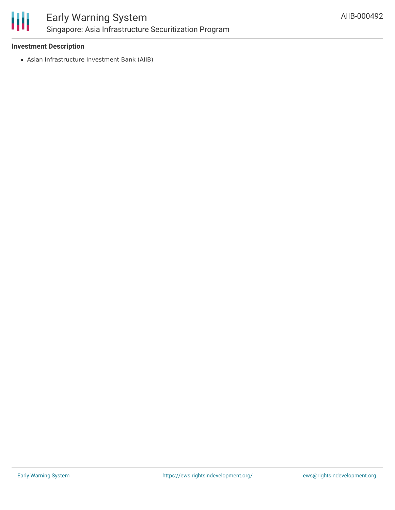

## **Investment Description**

Asian Infrastructure Investment Bank (AIIB)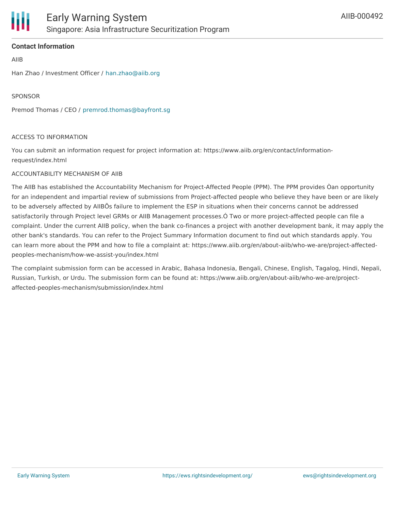## **Contact Information**

AIIB

Han Zhao / Investment Officer / [han.zhao@aiib.org](mailto:han.zhao@aiib.org)

SPONSOR

Premod Thomas / CEO / [premrod.thomas@bayfront.sg](mailto:premrod.thomas@bayfront.sg)

#### ACCESS TO INFORMATION

You can submit an information request for project information at: https://www.aiib.org/en/contact/informationrequest/index.html

#### ACCOUNTABILITY MECHANISM OF AIIB

The AIIB has established the Accountability Mechanism for Project-Affected People (PPM). The PPM provides Òan opportunity for an independent and impartial review of submissions from Project-affected people who believe they have been or are likely to be adversely affected by AIIBÕs failure to implement the ESP in situations when their concerns cannot be addressed satisfactorily through Project level GRMs or AIIB Management processes.Ó Two or more project-affected people can file a complaint. Under the current AIIB policy, when the bank co-finances a project with another development bank, it may apply the other bank's standards. You can refer to the Project Summary Information document to find out which standards apply. You can learn more about the PPM and how to file a complaint at: https://www.aiib.org/en/about-aiib/who-we-are/project-affectedpeoples-mechanism/how-we-assist-you/index.html

The complaint submission form can be accessed in Arabic, Bahasa Indonesia, Bengali, Chinese, English, Tagalog, Hindi, Nepali, Russian, Turkish, or Urdu. The submission form can be found at: https://www.aiib.org/en/about-aiib/who-we-are/projectaffected-peoples-mechanism/submission/index.html